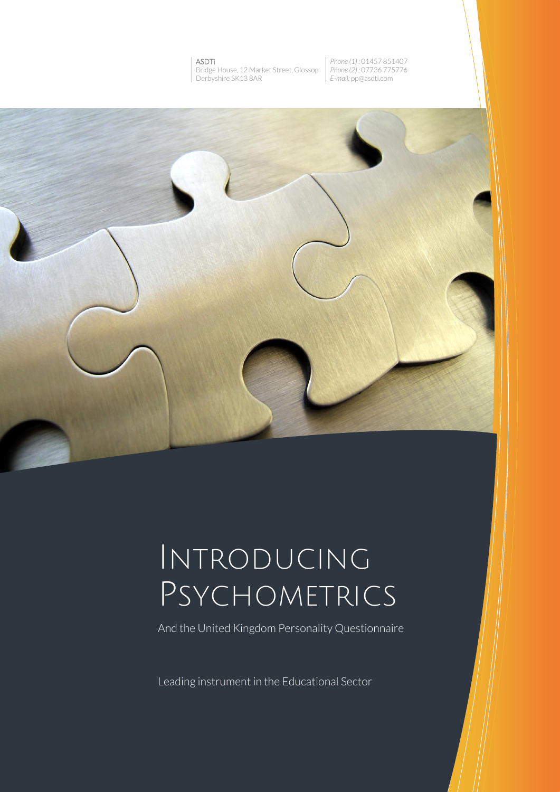#### ASDTi Bridge House, 12 Market Street, Glossop Derbyshire SK13 8AR

*Phone (1) :* 01457 851407 *Phone (2) :* 07736 775776 *E-mail:* pp@asdti.com



# INTRODUCING PSYCHOMETRICS

And the United Kingdom Personality Questionnaire

Leading instrument in the Educational Sector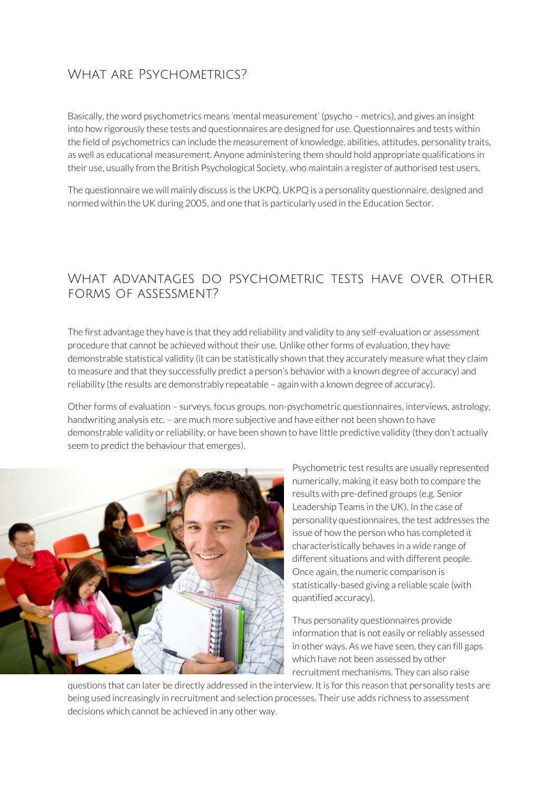# WHAT ARE PSYCHOMETRICS?

Basically, the word psychometrics means 'mental measurement' (psycho – metrics), and gives an insight into how rigorously these tests and questionnaires are designed for use. Questionnaires and tests within the field of psychometrics can include the measurement of knowledge, abilities, attitudes, personality traits, as well as educational measurement. Anyone administering them should hold appropriate qualifications in their use, usually from the British Psychological Society, who maintain a register of authorised test users.

The questionnaire we will mainly discuss is the UKPQ. UKPQ is a personality questionnaire, designed and normed within the UK during 2005, and one that is particularly used in the Education Sector.

### What advantages do psychometric tests have over other forms of assessment?

The first advantage they have is that they add reliability and validity to any self-evaluation or assessment procedure that cannot be achieved without their use. Unlike other forms of evaluation, they have demonstrable statistical validity (it can be statistically shown that they accurately measure what they claim to measure and that they successfully predict a person's behavior with a known degree of accuracy) and reliability (the results are demonstrably repeatable – again with a known degree of accuracy).

Other forms of evaluation – surveys, focus groups, non-psychometric questionnaires, interviews, astrology, handwriting analysis etc. - are much more subjective and have either not been shown to have demonstrable validity or reliability, or have been shown to have little predictive validity (they don't actually seem to predict the behaviour that emerges).



Psychometric test results are usually represented numerically, making it easy both to compare the results with pre-defined groups (e.g. Senior Leadership Teams in the UK). In the case of personality questionnaires, the test addresses the issue of how the person who has completed it characteristically behaves in a wide range of different situations and with different people. Once again, the numeric comparison is statistically-based giving a reliable scale (with quantified accuracy).

Thus personality questionnaires provide information that is not easily or reliably assessed in other ways. As we have seen, they can fill gaps which have not been assessed by other recruitment mechanisms. They can also raise

questions that can later be directly addressed in the interview. It is for this reason that personality tests are being used increasingly in recruitment and selection processes. Their use adds richness to assessment decisions which cannot be achieved in any other way.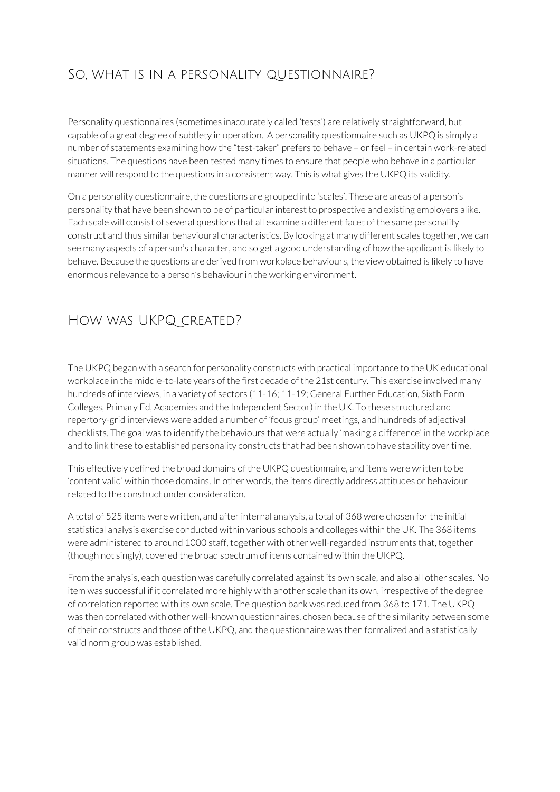# So, what is in a personality questionnaire?

Personality questionnaires (sometimes inaccurately called 'tests') are relatively straightforward, but capable of a great degree of subtlety in operation. A personality questionnaire such as UKPQ is simply a number of statements examining how the "test-taker" prefers to behave – or feel – in certain work-related situations. The questions have been tested many times to ensure that people who behave in a particular manner will respond to the questions in a consistent way. This is what gives the UKPQ its validity.

On a personality questionnaire, the questions are grouped into 'scales'. These are areas of a person's personality that have been shown to be of particular interest to prospective and existing employers alike. Each scale will consist of several questions that all examine a different facet of the same personality construct and thus similar behavioural characteristics. By looking at many different scales together, we can see many aspects of a person's character, and so get a good understanding of how the applicant is likely to behave. Because the questions are derived from workplace behaviours, the view obtained is likely to have enormous relevance to a person's behaviour in the working environment.

## How was UKPQ created?

The UKPQ began with a search for personality constructs with practical importance to the UK educational workplace in the middle-to-late years of the first decade of the 21st century. This exercise involved many hundreds of interviews, in a variety of sectors (11-16; 11-19; General Further Education, Sixth Form Colleges, Primary Ed, Academies and the Independent Sector) in the UK. To these structured and repertory-grid interviews were added a number of 'focus group' meetings, and hundreds of adjectival checklists. The goal was to identify the behaviours that were actually 'making a difference' in the workplace and to link these to established personality constructs that had been shown to have stability over time.

This effectively defined the broad domains of the UKPQ questionnaire, and items were written to be 'content valid' within those domains. In other words, the items directly address attitudes or behaviour related to the construct under consideration.

A total of 525 items were written, and after internal analysis, a total of 368 were chosen for the initial statistical analysis exercise conducted within various schools and colleges within the UK. The 368 items were administered to around 1000 staff, together with other well-regarded instruments that, together (though not singly), covered the broad spectrum of items contained within the UKPQ.

From the analysis, each question was carefully correlated against its own scale, and also all other scales. No item was successful if it correlated more highly with another scale than its own, irrespective of the degree of correlation reported with its own scale. The question bank was reduced from 368 to 171. The UKPQ was then correlated with other well-known questionnaires, chosen because of the similarity between some of their constructs and those of the UKPQ, and the questionnaire was then formalized and a statistically valid norm group was established.